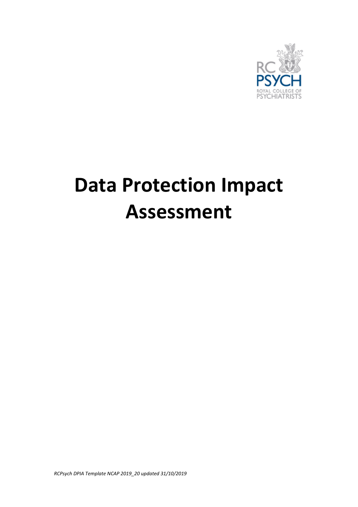

# **Data Protection Impact Assessment**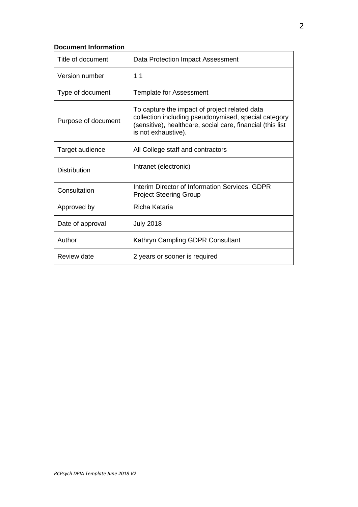## **Document Information**

| Title of document   | Data Protection Impact Assessment                                                                                                                                                          |
|---------------------|--------------------------------------------------------------------------------------------------------------------------------------------------------------------------------------------|
| Version number      | 1.1                                                                                                                                                                                        |
| Type of document    | <b>Template for Assessment</b>                                                                                                                                                             |
| Purpose of document | To capture the impact of project related data<br>collection including pseudonymised, special category<br>(sensitive), healthcare, social care, financial (this list<br>is not exhaustive). |
| Target audience     | All College staff and contractors                                                                                                                                                          |
| <b>Distribution</b> | Intranet (electronic)                                                                                                                                                                      |
| Consultation        | Interim Director of Information Services. GDPR<br><b>Project Steering Group</b>                                                                                                            |
| Approved by         | Richa Kataria                                                                                                                                                                              |
| Date of approval    | <b>July 2018</b>                                                                                                                                                                           |
| Author              | Kathryn Campling GDPR Consultant                                                                                                                                                           |
| Review date         | 2 years or sooner is required                                                                                                                                                              |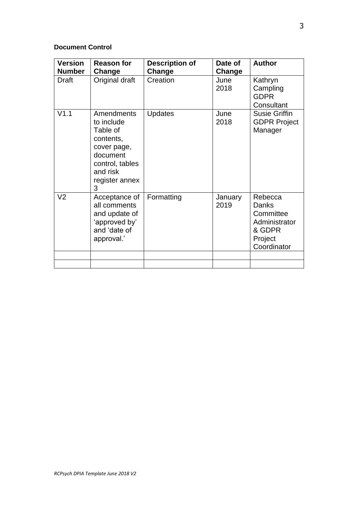#### **Document Control**

| <b>Version</b><br><b>Number</b> | <b>Reason for</b><br>Change                                                                                                               | <b>Description of</b><br>Change | Date of<br>Change | <b>Author</b>                                                                      |
|---------------------------------|-------------------------------------------------------------------------------------------------------------------------------------------|---------------------------------|-------------------|------------------------------------------------------------------------------------|
| Draft                           | Original draft                                                                                                                            | Creation                        | June<br>2018      | Kathryn<br>Campling<br><b>GDPR</b><br>Consultant                                   |
| V1.1                            | <b>Amendments</b><br>to include<br>Table of<br>contents,<br>cover page,<br>document<br>control, tables<br>and risk<br>register annex<br>3 | <b>Updates</b>                  | June<br>2018      | <b>Susie Griffin</b><br><b>GDPR Project</b><br>Manager                             |
| V <sub>2</sub>                  | Acceptance of<br>all comments<br>and update of<br>'approved by'<br>and 'date of<br>approval.'                                             | Formatting                      | January<br>2019   | Rebecca<br>Danks<br>Committee<br>Administrator<br>& GDPR<br>Project<br>Coordinator |
|                                 |                                                                                                                                           |                                 |                   |                                                                                    |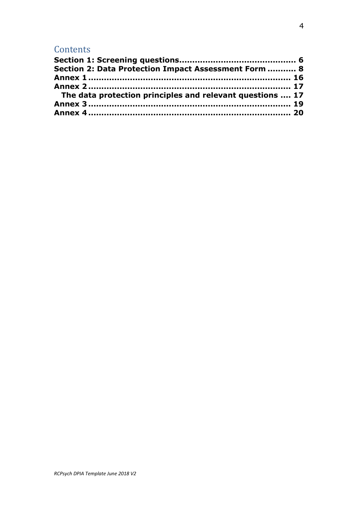## **Contents**

| Section 2: Data Protection Impact Assessment Form  8      |  |
|-----------------------------------------------------------|--|
|                                                           |  |
|                                                           |  |
| The data protection principles and relevant questions  17 |  |
|                                                           |  |
|                                                           |  |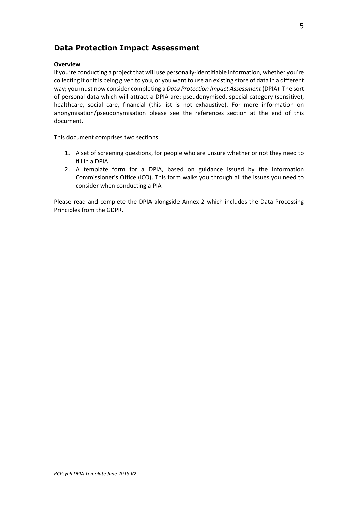## **Data Protection Impact Assessment**

#### **Overview**

If you're conducting a project that will use personally-identifiable information, whether you're collecting it or it is being given to you, or you want to use an existing store of data in a different way; you must now consider completing a *Data Protection Impact Assessment* (DPIA). The sort of personal data which will attract a DPIA are: pseudonymised, special category (sensitive), healthcare, social care, financial (this list is not exhaustive). For more information on anonymisation/pseudonymisation please see the references section at the end of this document.

This document comprises two sections:

- 1. A set of screening questions, for people who are unsure whether or not they need to fill in a DPIA
- 2. A template form for a DPIA, based on guidance issued by the Information Commissioner's Office (ICO). This form walks you through all the issues you need to consider when conducting a PIA

Please read and complete the DPIA alongside Annex 2 which includes the Data Processing Principles from the GDPR.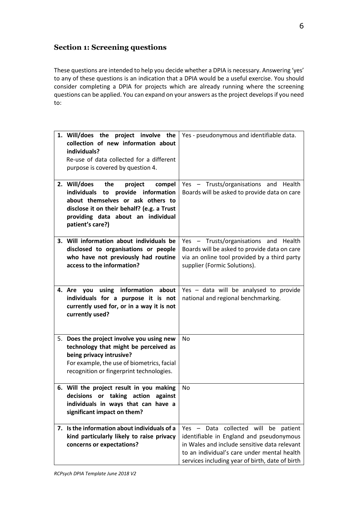## <span id="page-5-0"></span>**Section 1: Screening questions**

These questions are intended to help you decide whether a DPIA is necessary. Answering 'yes' to any of these questions is an indication that a DPIA would be a useful exercise. You should consider completing a DPIA for projects which are already running where the screening questions can be applied. You can expand on your answers as the project develops if you need to:

| 1. Will/does the project involve the<br>collection of new information about<br>individuals?<br>Re-use of data collected for a different<br>purpose is covered by question 4.                                                | Yes - pseudonymous and identifiable data.                                                                                                                                                                                          |
|-----------------------------------------------------------------------------------------------------------------------------------------------------------------------------------------------------------------------------|------------------------------------------------------------------------------------------------------------------------------------------------------------------------------------------------------------------------------------|
| 2. Will/does<br>the<br>project<br>compel<br>individuals to provide information<br>about themselves or ask others to<br>disclose it on their behalf? (e.g. a Trust<br>providing data about an individual<br>patient's care?) | Yes - Trusts/organisations and Health<br>Boards will be asked to provide data on care                                                                                                                                              |
| 3. Will information about individuals be<br>disclosed to organisations or people<br>who have not previously had routine<br>access to the information?                                                                       | Yes - Trusts/organisations and Health<br>Boards will be asked to provide data on care<br>via an online tool provided by a third party<br>supplier (Formic Solutions).                                                              |
| using information about<br>4. Are<br>you<br>individuals for a purpose it is not<br>currently used for, or in a way it is not<br>currently used?                                                                             | Yes - data will be analysed to provide<br>national and regional benchmarking.                                                                                                                                                      |
| 5. Does the project involve you using new<br>technology that might be perceived as<br>being privacy intrusive?<br>For example, the use of biometrics, facial<br>recognition or fingerprint technologies.                    | <b>No</b>                                                                                                                                                                                                                          |
| 6. Will the project result in you making<br>decisions or taking action<br>against<br>individuals in ways that can have a<br>significant impact on them?                                                                     | No                                                                                                                                                                                                                                 |
| 7. Is the information about individuals of a<br>kind particularly likely to raise privacy<br>concerns or expectations?                                                                                                      | Yes - Data collected will be patient<br>identifiable in England and pseudonymous<br>in Wales and include sensitive data relevant<br>to an individual's care under mental health<br>services including year of birth, date of birth |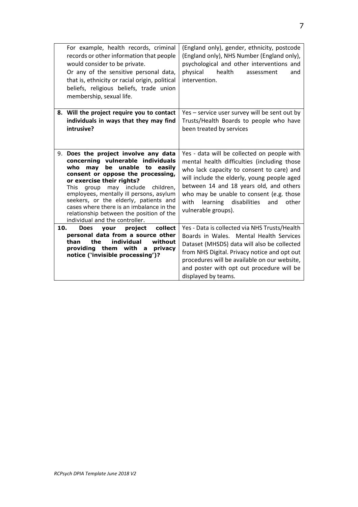| For example, health records, criminal<br>records or other information that people<br>would consider to be private.<br>Or any of the sensitive personal data,<br>that is, ethnicity or racial origin, political<br>beliefs, religious beliefs, trade union<br>membership, sexual life.                                                                                                                                                 | (England only), gender, ethnicity, postcode<br>(England only), NHS Number (England only),<br>psychological and other interventions and<br>physical<br>health<br>and<br>assessment<br>intervention.                                                                                                                                                 |
|---------------------------------------------------------------------------------------------------------------------------------------------------------------------------------------------------------------------------------------------------------------------------------------------------------------------------------------------------------------------------------------------------------------------------------------|----------------------------------------------------------------------------------------------------------------------------------------------------------------------------------------------------------------------------------------------------------------------------------------------------------------------------------------------------|
| 8. Will the project require you to contact<br>individuals in ways that they may find<br>intrusive?                                                                                                                                                                                                                                                                                                                                    | Yes - service user survey will be sent out by<br>Trusts/Health Boards to people who have<br>been treated by services                                                                                                                                                                                                                               |
| 9. Does the project involve any data<br>concerning vulnerable individuals<br>may be unable to easily<br>who<br>consent or oppose the processing,<br>or exercise their rights?<br>may include children,<br>This<br>group<br>employees, mentally ill persons, asylum<br>seekers, or the elderly, patients and<br>cases where there is an imbalance in the<br>relationship between the position of the<br>individual and the controller. | Yes - data will be collected on people with<br>mental health difficulties (including those<br>who lack capacity to consent to care) and<br>will include the elderly, young people aged<br>between 14 and 18 years old, and others<br>who may be unable to consent (e.g. those<br>with learning disabilities<br>other<br>and<br>vulnerable groups). |
| 10.<br>Does your project<br>personal data from a source other<br>individual<br>than<br>the<br>providing them with a<br>notice ('invisible processing')?                                                                                                                                                                                                                                                                               | Yes - Data is collected via NHS Trusts/Health<br>collect<br>Boards in Wales. Mental Health Services<br>without<br>Dataset (MHSDS) data will also be collected<br>privacy<br>from NHS Digital. Privacy notice and opt out<br>procedures will be available on our website,<br>and poster with opt out procedure will be<br>displayed by teams.       |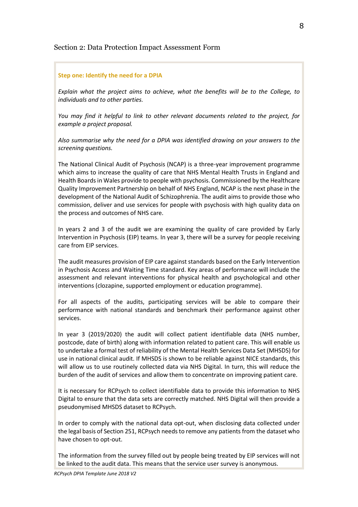#### <span id="page-7-0"></span>Section 2: Data Protection Impact Assessment Form

#### **Step one: Identify the need for a DPIA**

*Explain what the project aims to achieve, what the benefits will be to the College, to individuals and to other parties.* 

*You may find it helpful to link to other relevant documents related to the project, for example a project proposal.*

*Also summarise why the need for a DPIA was identified drawing on your answers to the screening questions.*

The National Clinical Audit of Psychosis (NCAP) is a three-year improvement programme which aims to increase the quality of care that NHS Mental Health Trusts in England and Health Boards in Wales provide to people with psychosis. Commissioned by the Healthcare Quality Improvement Partnership on behalf of NHS England, NCAP is the next phase in the development of the National Audit of Schizophrenia. The audit aims to provide those who commission, deliver and use services for people with psychosis with high quality data on the process and outcomes of NHS care.

In years 2 and 3 of the audit we are examining the quality of care provided by Early Intervention in Psychosis (EIP) teams. In year 3, there will be a survey for people receiving care from EIP services.

The audit measures provision of EIP care against standards based on the Early Intervention in Psychosis Access and Waiting Time standard. Key areas of performance will include the assessment and relevant interventions for physical health and psychological and other interventions (clozapine, supported employment or education programme).

For all aspects of the audits, participating services will be able to compare their performance with national standards and benchmark their performance against other services.

In year 3 (2019/2020) the audit will collect patient identifiable data (NHS number, postcode, date of birth) along with information related to patient care. This will enable us to undertake a formal test of reliability of the Mental Health Services Data Set (MHSDS) for use in national clinical audit. If MHSDS is shown to be reliable against NICE standards, this will allow us to use routinely collected data via NHS Digital. In turn, this will reduce the burden of the audit of services and allow them to concentrate on improving patient care.

It is necessary for RCPsych to collect identifiable data to provide this information to NHS Digital to ensure that the data sets are correctly matched. NHS Digital will then provide a pseudonymised MHSDS dataset to RCPsych.

In order to comply with the national data opt-out, when disclosing data collected under the legal basis of Section 251, RCPsych needs to remove any patients from the dataset who have chosen to opt-out.

The information from the survey filled out by people being treated by EIP services will not be linked to the audit data. This means that the service user survey is anonymous.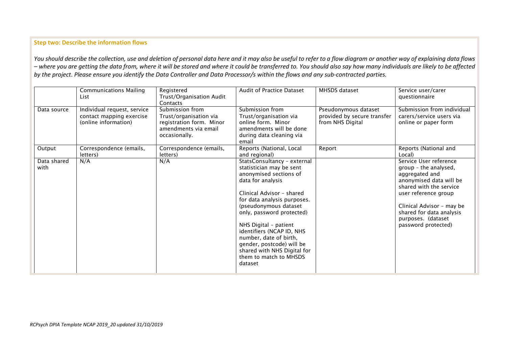#### **Step two: Describe the information flows**

*You should describe the collection, use and deletion of personal data here and it may also be useful to refer to a flow diagram or another way of explaining data flows – where you are getting the data from, where it will be stored and where it could be transferred to. You should also say how many individuals are likely to be affected by the project*. *Please ensure you identify the Data Controller and Data Processor/s within the flows and any sub-contracted parties.*

|                     | <b>Communications Mailing</b><br>l ist.                                         | Registered<br>Trust/Organisation Audit<br>Contacts                                                             | Audit of Practice Dataset                                                                                                                                                                                                                                                                                                                                                                                 | MHSDS dataset                                                           | Service user/carer<br>questionnaire                                                                                                                                                                                                                   |
|---------------------|---------------------------------------------------------------------------------|----------------------------------------------------------------------------------------------------------------|-----------------------------------------------------------------------------------------------------------------------------------------------------------------------------------------------------------------------------------------------------------------------------------------------------------------------------------------------------------------------------------------------------------|-------------------------------------------------------------------------|-------------------------------------------------------------------------------------------------------------------------------------------------------------------------------------------------------------------------------------------------------|
| Data source         | Individual request, service<br>contact mapping exercise<br>(online information) | Submission from<br>Trust/organisation via<br>registration form. Minor<br>amendments via email<br>occasionally. | Submission from<br>Trust/organisation via<br>online form. Minor<br>amendments will be done<br>during data cleaning via<br>email                                                                                                                                                                                                                                                                           | Pseudonymous dataset<br>provided by secure transfer<br>from NHS Digital | Submission from individual<br>carers/service users via<br>online or paper form                                                                                                                                                                        |
| Output              | Correspondence (emails,<br>letters)                                             | Correspondence (emails,<br>letters)                                                                            | Reports (National, Local<br>and regional)                                                                                                                                                                                                                                                                                                                                                                 | Report                                                                  | Reports (National and<br>Local)                                                                                                                                                                                                                       |
| Data shared<br>with | N/A                                                                             | N/A                                                                                                            | StatsConsultancy - external<br>statistician may be sent<br>anonymised sections of<br>data for analysis<br>Clinical Advisor - shared<br>for data analysis purposes.<br>(pseudonymous dataset<br>only, password protected)<br>NHS Digital - patient<br>identifiers (NCAP ID, NHS<br>number, date of birth,<br>gender, postcode) will be<br>shared with NHS Digital for<br>them to match to MHSDS<br>dataset |                                                                         | Service User reference<br>group - the analysed,<br>aggregated and<br>anonymised data will be<br>shared with the service<br>user reference group<br>Clinical Advisor - may be<br>shared for data analysis<br>purposes. (dataset<br>password protected) |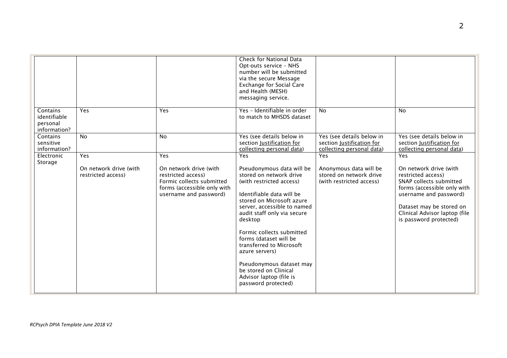|                                                      |                                                     |                                                                                                                                           | Check for National Data<br>Opt-outs service - NHS<br>number will be submitted<br>via the secure Message<br><b>Exchange for Social Care</b><br>and Health (MESH)<br>messaging service.                                                                                                                                                                                                                                                  |                                                                                       |                                                                                                                                                                                                                                       |
|------------------------------------------------------|-----------------------------------------------------|-------------------------------------------------------------------------------------------------------------------------------------------|----------------------------------------------------------------------------------------------------------------------------------------------------------------------------------------------------------------------------------------------------------------------------------------------------------------------------------------------------------------------------------------------------------------------------------------|---------------------------------------------------------------------------------------|---------------------------------------------------------------------------------------------------------------------------------------------------------------------------------------------------------------------------------------|
| Contains<br>identifiable<br>personal<br>information? | <b>Yes</b>                                          | Yes                                                                                                                                       | Yes - Identifiable in order<br>to match to MHSDS dataset                                                                                                                                                                                                                                                                                                                                                                               | <b>No</b>                                                                             | No                                                                                                                                                                                                                                    |
| Contains<br>sensitive<br>information?                | <b>No</b>                                           | <b>No</b>                                                                                                                                 | Yes (see details below in<br>section Justification for<br>collecting personal data)                                                                                                                                                                                                                                                                                                                                                    | Yes (see details below in<br>section lustification for<br>collecting personal data)   | Yes (see details below in<br>section Justification for<br>collecting personal data)                                                                                                                                                   |
| Electronic<br>Storage                                | Yes<br>On network drive (with<br>restricted access) | Yes<br>On network drive (with<br>restricted access)<br>Formic collects submitted<br>forms (accessible only with<br>username and password) | Yes<br>Pseudonymous data will be<br>stored on network drive<br>(with restricted access)<br>Identifiable data will be<br>stored on Microsoft azure<br>server, accessible to named<br>audit staff only via secure<br>desktop<br>Formic collects submitted<br>forms (dataset will be<br>transferred to Microsoft<br>azure servers)<br>Pseudonymous dataset may<br>be stored on Clinical<br>Advisor laptop (file is<br>password protected) | Yes.<br>Anonymous data will be<br>stored on network drive<br>(with restricted access) | <b>Yes</b><br>On network drive (with<br>restricted access)<br>SNAP collects submitted<br>forms (accessible only with<br>username and password)<br>Dataset may be stored on<br>Clinical Advisor laptop (file<br>is password protected) |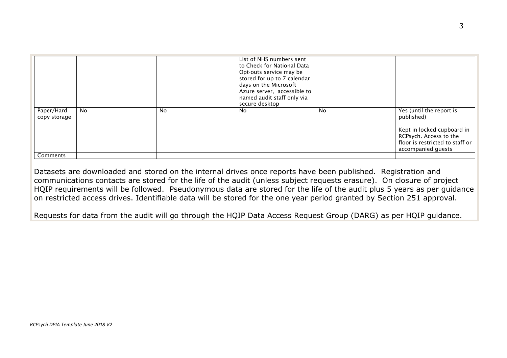|                            |           |           | List of NHS numbers sent<br>to Check for National Data<br>Opt-outs service may be<br>stored for up to 7 calendar<br>days on the Microsoft<br>Azure server, accessible to<br>named audit staff only via<br>secure desktop |    |                                                                                                                                                         |
|----------------------------|-----------|-----------|--------------------------------------------------------------------------------------------------------------------------------------------------------------------------------------------------------------------------|----|---------------------------------------------------------------------------------------------------------------------------------------------------------|
| Paper/Hard<br>copy storage | <b>No</b> | <b>No</b> | No.                                                                                                                                                                                                                      | No | Yes (until the report is<br>published)<br>Kept in locked cupboard in<br>RCPsych. Access to the<br>floor is restricted to staff or<br>accompanied quests |
| Comments                   |           |           |                                                                                                                                                                                                                          |    |                                                                                                                                                         |

Datasets are downloaded and stored on the internal drives once reports have been published. Registration and communications contacts are stored for the life of the audit (unless subject requests erasure). On closure of project HQIP requirements will be followed. Pseudonymous data are stored for the life of the audit plus 5 years as per guidance on restricted access drives. Identifiable data will be stored for the one year period granted by Section 251 approval.

Requests for data from the audit will go through the HQIP Data Access Request Group (DARG) as per HQIP guidance.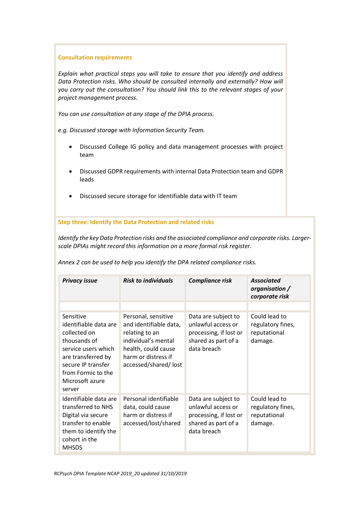#### **Consultation requirements**

*Explain what practical steps you will take to ensure that you identify and address Data Protection risks. Who should be consulted internally and externally? How will you carry out the consultation? You should link this to the relevant stages of your project management process.*

*You can use consultation at any stage of the DPIA process.*

*e.g. Discussed storage with Information Security Team.*

- Discussed College IG policy and data management processes with project team
- Discussed GDPR requirements with internal Data Protection team and GDPR leads
- Discussed secure storage for identifiable data with IT team

**Step three: Identify the Data Protection and related risks**

*Identify the key Data Protection risks and the associated compliance and corporate risks. Largerscale DPIAs might record this information on a more formal risk register.*

| <b>Privacy issue</b>                                                                                                                                                                     | <b>Risk to individuals</b>                                                                                                                                   | Compliance risk                                                                                           | <b>Associated</b><br>organisation /<br>corporate risk         |
|------------------------------------------------------------------------------------------------------------------------------------------------------------------------------------------|--------------------------------------------------------------------------------------------------------------------------------------------------------------|-----------------------------------------------------------------------------------------------------------|---------------------------------------------------------------|
|                                                                                                                                                                                          |                                                                                                                                                              |                                                                                                           |                                                               |
| Sensitive<br>identifiable data are<br>collected on<br>thousands of<br>service users which<br>are transferred by<br>secure IP transfer<br>from Formic to the<br>Microsoft azure<br>server | Personal, sensitive<br>and identifiable data,<br>relating to an<br>individual's mental<br>health, could cause<br>harm or distress if<br>accessed/shared/lost | Data are subject to<br>unlawful access or<br>processing, if lost or<br>shared as part of a<br>data breach | Could lead to<br>regulatory fines,<br>reputational<br>damage. |
| Identifiable data are<br>transferred to NHS<br>Digital via secure<br>transfer to enable<br>them to identify the<br>cohort in the<br><b>MHSDS</b>                                         | Personal identifiable<br>data, could cause<br>harm or distress if<br>accessed/lost/shared                                                                    | Data are subject to<br>unlawful access or<br>processing, if lost or<br>shared as part of a<br>data breach | Could lead to<br>regulatory fines,<br>reputational<br>damage. |

*Annex 2 can be used to help you identify the DPA related compliance risks.*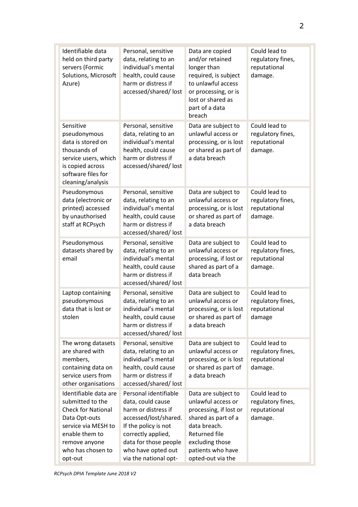| Identifiable data<br>held on third party<br>servers (Formic<br>Solutions, Microsoft<br>Azure)                                                                                     | Personal, sensitive<br>data, relating to an<br>individual's mental<br>health, could cause<br>harm or distress if<br>accessed/shared/lost                                                                         | Data are copied<br>and/or retained<br>longer than<br>required, is subject<br>to unlawful access<br>or processing, or is<br>lost or shared as<br>part of a data<br>breach                        | Could lead to<br>regulatory fines,<br>reputational<br>damage. |
|-----------------------------------------------------------------------------------------------------------------------------------------------------------------------------------|------------------------------------------------------------------------------------------------------------------------------------------------------------------------------------------------------------------|-------------------------------------------------------------------------------------------------------------------------------------------------------------------------------------------------|---------------------------------------------------------------|
| Sensitive<br>pseudonymous<br>data is stored on<br>thousands of<br>service users, which<br>is copied across<br>software files for<br>cleaning/analysis                             | Personal, sensitive<br>data, relating to an<br>individual's mental<br>health, could cause<br>harm or distress if<br>accessed/shared/lost                                                                         | Data are subject to<br>unlawful access or<br>processing, or is lost<br>or shared as part of<br>a data breach                                                                                    | Could lead to<br>regulatory fines,<br>reputational<br>damage. |
| Pseudonymous<br>data (electronic or<br>printed) accessed<br>by unauthorised<br>staff at RCPsych                                                                                   | Personal, sensitive<br>data, relating to an<br>individual's mental<br>health, could cause<br>harm or distress if<br>accessed/shared/lost                                                                         | Data are subject to<br>unlawful access or<br>processing, or is lost<br>or shared as part of<br>a data breach                                                                                    | Could lead to<br>regulatory fines,<br>reputational<br>damage. |
| Pseudonymous<br>datasets shared by<br>email                                                                                                                                       | Personal, sensitive<br>data, relating to an<br>individual's mental<br>health, could cause<br>harm or distress if<br>accessed/shared/lost                                                                         | Data are subject to<br>unlawful access or<br>processing, if lost or<br>shared as part of a<br>data breach                                                                                       | Could lead to<br>regulatory fines,<br>reputational<br>damage. |
| Laptop containing<br>pseudonymous<br>data that is lost or<br>stolen                                                                                                               | Personal, sensitive<br>data, relating to an<br>individual's mental<br>health, could cause<br>harm or distress if<br>accessed/shared/lost                                                                         | Data are subject to<br>unlawful access or<br>processing, or is lost<br>or shared as part of<br>a data breach                                                                                    | Could lead to<br>regulatory fines,<br>reputational<br>damage  |
| The wrong datasets<br>are shared with<br>members,<br>containing data on<br>service users from<br>other organisations                                                              | Personal, sensitive<br>data, relating to an<br>individual's mental<br>health, could cause<br>harm or distress if<br>accessed/shared/lost                                                                         | Data are subject to<br>unlawful access or<br>processing, or is lost<br>or shared as part of<br>a data breach                                                                                    | Could lead to<br>regulatory fines,<br>reputational<br>damage. |
| Identifiable data are<br>submitted to the<br><b>Check for National</b><br>Data Opt-outs<br>service via MESH to<br>enable them to<br>remove anyone<br>who has chosen to<br>opt-out | Personal identifiable<br>data, could cause<br>harm or distress if<br>accessed/lost/shared.<br>If the policy is not<br>correctly applied,<br>data for those people<br>who have opted out<br>via the national opt- | Data are subject to<br>unlawful access or<br>processing, if lost or<br>shared as part of a<br>data breach.<br><b>Returned file</b><br>excluding those<br>patients who have<br>opted-out via the | Could lead to<br>regulatory fines,<br>reputational<br>damage. |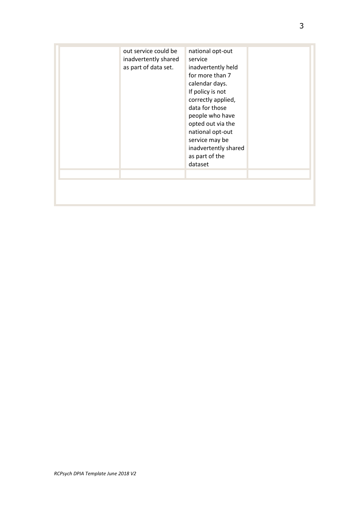| out service could be<br>inadvertently shared<br>as part of data set. | national opt-out<br>service<br>inadvertently held<br>for more than 7<br>calendar days.<br>If policy is not<br>correctly applied,<br>data for those<br>people who have<br>opted out via the<br>national opt-out<br>service may be<br>inadvertently shared<br>as part of the<br>dataset |  |
|----------------------------------------------------------------------|---------------------------------------------------------------------------------------------------------------------------------------------------------------------------------------------------------------------------------------------------------------------------------------|--|
|                                                                      |                                                                                                                                                                                                                                                                                       |  |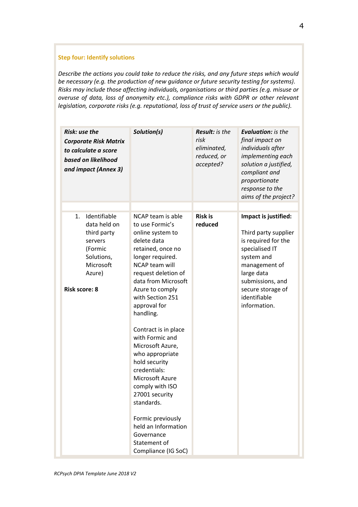#### **Step four: Identify solutions**

*Describe the actions you could take to reduce the risks, and any future steps which would be necessary (e.g. the production of new guidance or future security testing for systems). Risks may include those affecting individuals, organisations or third parties (e.g. misuse or overuse of data, loss of anonymity etc.), compliance risks with GDPR or other relevant legislation, corporate risks (e.g. reputational, loss of trust of service users or the public).* 

| Risk: use the<br><b>Corporate Risk Matrix</b><br>to calculate a score<br>based on likelihood<br>and impact (Annex 3)                 | Solution(s)                                                                                                                                                                                                                                                                                                                                                                                                                                                                                                                                           | <b>Result:</b> is the<br>risk<br>eliminated,<br>reduced, or<br>accepted? | <b>Evaluation:</b> is the<br>final impact on<br>individuals after<br>implementing each<br>solution a justified,<br>compliant and<br>proportionate<br>response to the<br>aims of the project?                |
|--------------------------------------------------------------------------------------------------------------------------------------|-------------------------------------------------------------------------------------------------------------------------------------------------------------------------------------------------------------------------------------------------------------------------------------------------------------------------------------------------------------------------------------------------------------------------------------------------------------------------------------------------------------------------------------------------------|--------------------------------------------------------------------------|-------------------------------------------------------------------------------------------------------------------------------------------------------------------------------------------------------------|
|                                                                                                                                      |                                                                                                                                                                                                                                                                                                                                                                                                                                                                                                                                                       |                                                                          |                                                                                                                                                                                                             |
| Identifiable<br>1.<br>data held on<br>third party<br>servers<br>(Formic<br>Solutions,<br>Microsoft<br>Azure)<br><b>Risk score: 8</b> | NCAP team is able<br>to use Formic's<br>online system to<br>delete data<br>retained, once no<br>longer required.<br><b>NCAP team will</b><br>request deletion of<br>data from Microsoft<br>Azure to comply<br>with Section 251<br>approval for<br>handling.<br>Contract is in place<br>with Formic and<br>Microsoft Azure,<br>who appropriate<br>hold security<br>credentials:<br>Microsoft Azure<br>comply with ISO<br>27001 security<br>standards.<br>Formic previously<br>held an Information<br>Governance<br>Statement of<br>Compliance (IG SoC) | <b>Risk is</b><br>reduced                                                | Impact is justified:<br>Third party supplier<br>is required for the<br>specialised IT<br>system and<br>management of<br>large data<br>submissions, and<br>secure storage of<br>identifiable<br>information. |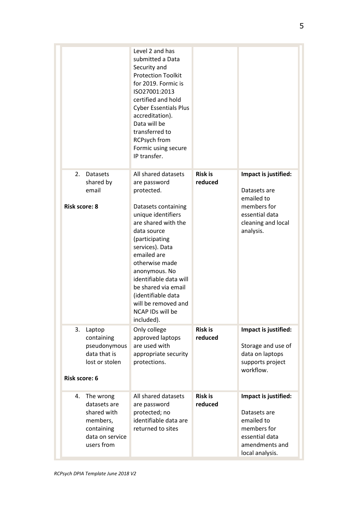|                                                                                                           | Level 2 and has<br>submitted a Data<br>Security and<br><b>Protection Toolkit</b><br>for 2019. Formic is<br>ISO27001:2013<br>certified and hold<br><b>Cyber Essentials Plus</b><br>accreditation).<br>Data will be<br>transferred to<br><b>RCPsych from</b><br>Formic using secure<br>IP transfer.      |                           |                                                                                                                          |
|-----------------------------------------------------------------------------------------------------------|--------------------------------------------------------------------------------------------------------------------------------------------------------------------------------------------------------------------------------------------------------------------------------------------------------|---------------------------|--------------------------------------------------------------------------------------------------------------------------|
| 2.<br><b>Datasets</b><br>shared by<br>email                                                               | All shared datasets<br>are password<br>protected.                                                                                                                                                                                                                                                      | <b>Risk is</b><br>reduced | Impact is justified:<br>Datasets are<br>emailed to                                                                       |
| <b>Risk score: 8</b>                                                                                      | Datasets containing<br>unique identifiers<br>are shared with the<br>data source<br>(participating<br>services). Data<br>emailed are<br>otherwise made<br>anonymous. No<br>identifiable data will<br>be shared via email<br>(identifiable data<br>will be removed and<br>NCAP IDs will be<br>included). |                           | members for<br>essential data<br>cleaning and local<br>analysis.                                                         |
| 3.<br>Laptop<br>containing<br>pseudonymous<br>data that is<br>lost or stolen                              | Only college<br>approved laptops<br>are used with<br>appropriate security<br>protections.                                                                                                                                                                                                              | <b>Risk is</b><br>reduced | Impact is justified:<br>Storage and use of<br>data on laptops<br>supports project                                        |
| <b>Risk score: 6</b>                                                                                      |                                                                                                                                                                                                                                                                                                        |                           | workflow.                                                                                                                |
| 4.<br>The wrong<br>datasets are<br>shared with<br>members,<br>containing<br>data on service<br>users from | All shared datasets<br>are password<br>protected; no<br>identifiable data are<br>returned to sites                                                                                                                                                                                                     | <b>Risk is</b><br>reduced | Impact is justified:<br>Datasets are<br>emailed to<br>members for<br>essential data<br>amendments and<br>local analysis. |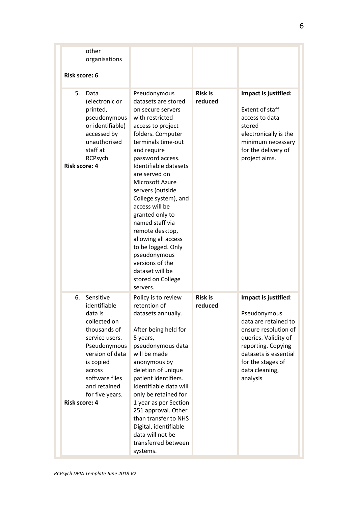| other<br>organisations<br><b>Risk score: 6</b>                                                                                                                                                                                      |                                                                                                                                                                                                                                                                                                                                                                                                                                                                                                        |                           |                                                                                                                                                                                                                |
|-------------------------------------------------------------------------------------------------------------------------------------------------------------------------------------------------------------------------------------|--------------------------------------------------------------------------------------------------------------------------------------------------------------------------------------------------------------------------------------------------------------------------------------------------------------------------------------------------------------------------------------------------------------------------------------------------------------------------------------------------------|---------------------------|----------------------------------------------------------------------------------------------------------------------------------------------------------------------------------------------------------------|
| 5.<br>Data<br>(electronic or<br>printed,<br>pseudonymous<br>or identifiable)<br>accessed by<br>unauthorised<br>staff at<br>RCPsych<br><b>Risk score: 4</b>                                                                          | Pseudonymous<br>datasets are stored<br>on secure servers<br>with restricted<br>access to project<br>folders. Computer<br>terminals time-out<br>and require<br>password access.<br>Identifiable datasets<br>are served on<br>Microsoft Azure<br>servers (outside<br>College system), and<br>access will be<br>granted only to<br>named staff via<br>remote desktop,<br>allowing all access<br>to be logged. Only<br>pseudonymous<br>versions of the<br>dataset will be<br>stored on College<br>servers. | <b>Risk is</b><br>reduced | Impact is justified:<br><b>Extent of staff</b><br>access to data<br>stored<br>electronically is the<br>minimum necessary<br>for the delivery of<br>project aims.                                               |
| Sensitive<br>6.<br>identifiable<br>data is<br>collected on<br>thousands of<br>service users.<br>Pseudonymous<br>version of data<br>is copied<br>across<br>software files<br>and retained<br>for five years.<br><b>Risk score: 4</b> | Policy is to review<br>retention of<br>datasets annually.<br>After being held for<br>5 years,<br>pseudonymous data<br>will be made<br>anonymous by<br>deletion of unique<br>patient identifiers.<br>Identifiable data will<br>only be retained for<br>1 year as per Section<br>251 approval. Other<br>than transfer to NHS<br>Digital, identifiable<br>data will not be<br>transferred between<br>systems.                                                                                             | <b>Risk is</b><br>reduced | Impact is justified:<br>Pseudonymous<br>data are retained to<br>ensure resolution of<br>queries. Validity of<br>reporting. Copying<br>datasets is essential<br>for the stages of<br>data cleaning,<br>analysis |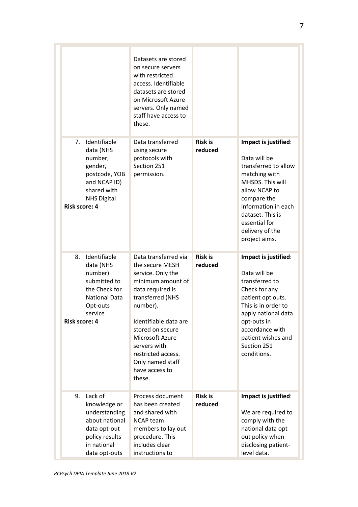|                                                                                                                                                     | Datasets are stored<br>on secure servers<br>with restricted<br>access. Identifiable<br>datasets are stored<br>on Microsoft Azure<br>servers. Only named<br>staff have access to<br>these.                                                                                                   |                           |                                                                                                                                                                                                                                   |
|-----------------------------------------------------------------------------------------------------------------------------------------------------|---------------------------------------------------------------------------------------------------------------------------------------------------------------------------------------------------------------------------------------------------------------------------------------------|---------------------------|-----------------------------------------------------------------------------------------------------------------------------------------------------------------------------------------------------------------------------------|
| Identifiable<br>7.<br>data (NHS<br>number,<br>gender,<br>postcode, YOB<br>and NCAP ID)<br>shared with<br><b>NHS Digital</b><br><b>Risk score: 4</b> | Data transferred<br>using secure<br>protocols with<br>Section 251<br>permission.                                                                                                                                                                                                            | <b>Risk is</b><br>reduced | Impact is justified:<br>Data will be<br>transferred to allow<br>matching with<br>MHSDS. This will<br>allow NCAP to<br>compare the<br>information in each<br>dataset. This is<br>essential for<br>delivery of the<br>project aims. |
| Identifiable<br>8.<br>data (NHS<br>number)<br>submitted to<br>the Check for<br><b>National Data</b><br>Opt-outs<br>service<br><b>Risk score: 4</b>  | Data transferred via<br>the secure MESH<br>service. Only the<br>minimum amount of<br>data required is<br>transferred (NHS<br>number).<br>Identifiable data are<br>stored on secure<br>Microsoft Azure<br>servers with<br>restricted access.<br>Only named staff<br>have access to<br>these. | <b>Risk is</b><br>reduced | Impact is justified:<br>Data will be<br>transferred to<br>Check for any<br>patient opt outs.<br>This is in order to<br>apply national data<br>opt-outs in<br>accordance with<br>patient wishes and<br>Section 251<br>conditions.  |
| Lack of<br>9.<br>knowledge or<br>understanding<br>about national<br>data opt-out<br>policy results                                                  | Process document<br>has been created<br>and shared with<br><b>NCAP</b> team<br>members to lay out<br>procedure. This                                                                                                                                                                        | <b>Risk is</b><br>reduced | Impact is justified:<br>We are required to<br>comply with the<br>national data opt<br>out policy when                                                                                                                             |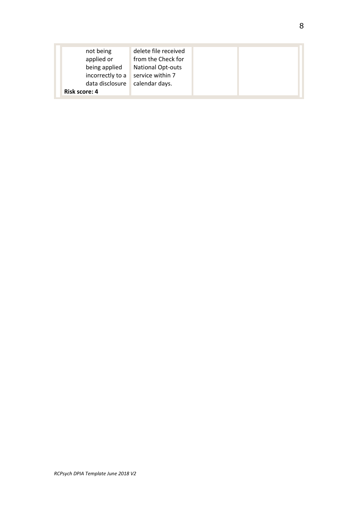| not being            | delete file received     |  |
|----------------------|--------------------------|--|
| applied or           | from the Check for       |  |
| being applied        | <b>National Opt-outs</b> |  |
| incorrectly to a     | service within 7         |  |
| data disclosure      | calendar days.           |  |
| <b>Risk score: 4</b> |                          |  |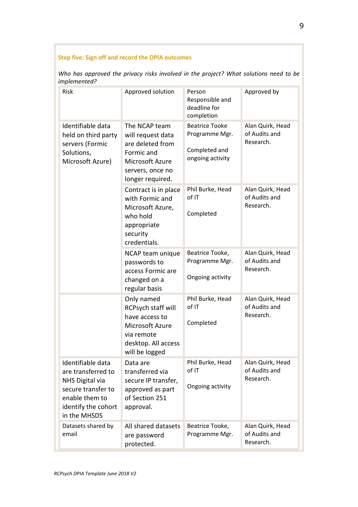## **Step five: Sign off and record the DPIA outcomes**

*Who has approved the privacy risks involved in the project? What solutions need to be implemented?*

| Risk                                                                                                                                      | Approved solution                                                                                                               | Person<br>Responsible and<br>deadline for<br>completion                      | Approved by                                    |
|-------------------------------------------------------------------------------------------------------------------------------------------|---------------------------------------------------------------------------------------------------------------------------------|------------------------------------------------------------------------------|------------------------------------------------|
| Identifiable data<br>held on third party<br>servers (Formic<br>Solutions,<br>Microsoft Azure)                                             | The NCAP team<br>will request data<br>are deleted from<br>Formic and<br>Microsoft Azure<br>servers, once no<br>longer required. | <b>Beatrice Tooke</b><br>Programme Mgr.<br>Completed and<br>ongoing activity | Alan Quirk, Head<br>of Audits and<br>Research. |
|                                                                                                                                           | Contract is in place<br>with Formic and<br>Microsoft Azure,<br>who hold<br>appropriate<br>security<br>credentials.              | Phil Burke, Head<br>of IT<br>Completed                                       | Alan Quirk, Head<br>of Audits and<br>Research. |
|                                                                                                                                           | NCAP team unique<br>passwords to<br>access Formic are<br>changed on a<br>regular basis                                          | Beatrice Tooke,<br>Programme Mgr.<br>Ongoing activity                        | Alan Quirk, Head<br>of Audits and<br>Research. |
|                                                                                                                                           | Only named<br>RCPsych staff will<br>have access to<br>Microsoft Azure<br>via remote<br>desktop. All access<br>will be logged    | Phil Burke, Head<br>of IT<br>Completed                                       | Alan Quirk, Head<br>of Audits and<br>Research. |
| Identifiable data<br>are transferred to<br>NHS Digital via<br>secure transfer to<br>enable them to<br>identify the cohort<br>in the MHSDS | Data are<br>transferred via<br>secure IP transfer,<br>approved as part<br>of Section 251<br>approval.                           | Phil Burke, Head<br>of IT<br>Ongoing activity                                | Alan Quirk, Head<br>of Audits and<br>Research. |
| Datasets shared by<br>email                                                                                                               | All shared datasets<br>are password<br>protected.                                                                               | Beatrice Tooke,<br>Programme Mgr.                                            | Alan Quirk, Head<br>of Audits and<br>Research. |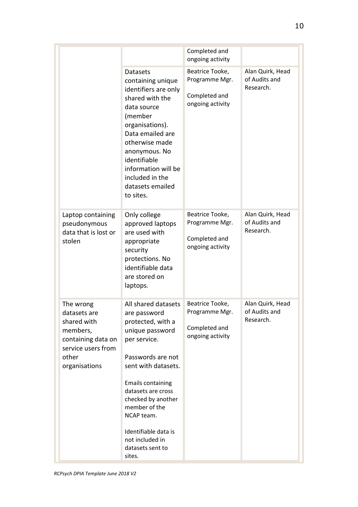|                                                                                                                            |                                                                                                                                                                                                                                                                                                                         | Completed and<br>ongoing activity                                      |                                                |
|----------------------------------------------------------------------------------------------------------------------------|-------------------------------------------------------------------------------------------------------------------------------------------------------------------------------------------------------------------------------------------------------------------------------------------------------------------------|------------------------------------------------------------------------|------------------------------------------------|
|                                                                                                                            | <b>Datasets</b><br>containing unique<br>identifiers are only<br>shared with the<br>data source<br>(member<br>organisations).<br>Data emailed are<br>otherwise made<br>anonymous. No<br>identifiable<br>information will be<br>included in the<br>datasets emailed<br>to sites.                                          | Beatrice Tooke,<br>Programme Mgr.<br>Completed and<br>ongoing activity | Alan Quirk, Head<br>of Audits and<br>Research. |
| Laptop containing<br>pseudonymous<br>data that is lost or<br>stolen                                                        | Only college<br>approved laptops<br>are used with<br>appropriate<br>security<br>protections. No<br>identifiable data<br>are stored on<br>laptops.                                                                                                                                                                       | Beatrice Tooke,<br>Programme Mgr.<br>Completed and<br>ongoing activity | Alan Quirk, Head<br>of Audits and<br>Research. |
| The wrong<br>datasets are<br>shared with<br>members,<br>containing data on<br>service users from<br>other<br>organisations | All shared datasets<br>are password<br>protected, with a<br>unique password<br>per service.<br>Passwords are not<br>sent with datasets.<br><b>Emails containing</b><br>datasets are cross<br>checked by another<br>member of the<br>NCAP team.<br>Identifiable data is<br>not included in<br>datasets sent to<br>sites. | Beatrice Tooke,<br>Programme Mgr.<br>Completed and<br>ongoing activity | Alan Quirk, Head<br>of Audits and<br>Research. |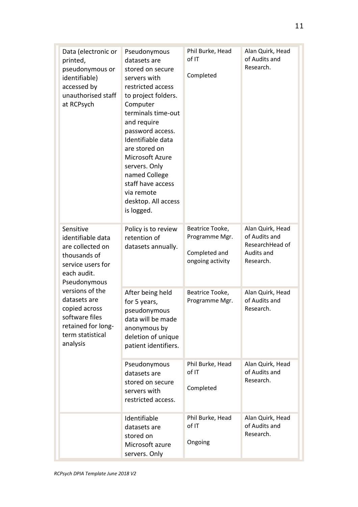| Data (electronic or<br>printed,<br>pseudonymous or<br>identifiable)<br>accessed by<br>unauthorised staff<br>at RCPsych   | Pseudonymous<br>datasets are<br>stored on secure<br>servers with<br>restricted access<br>to project folders.<br>Computer<br>terminals time-out<br>and require<br>password access.<br>Identifiable data<br>are stored on<br>Microsoft Azure<br>servers. Only<br>named College<br>staff have access<br>via remote<br>desktop. All access<br>is logged. | Phil Burke, Head<br>of IT<br>Completed                                 | Alan Quirk, Head<br>of Audits and<br>Research.                                  |
|--------------------------------------------------------------------------------------------------------------------------|------------------------------------------------------------------------------------------------------------------------------------------------------------------------------------------------------------------------------------------------------------------------------------------------------------------------------------------------------|------------------------------------------------------------------------|---------------------------------------------------------------------------------|
| Sensitive<br>identifiable data<br>are collected on<br>thousands of<br>service users for<br>each audit.<br>Pseudonymous   | Policy is to review<br>retention of<br>datasets annually.                                                                                                                                                                                                                                                                                            | Beatrice Tooke,<br>Programme Mgr.<br>Completed and<br>ongoing activity | Alan Quirk, Head<br>of Audits and<br>ResearchHead of<br>Audits and<br>Research. |
| versions of the<br>datasets are<br>copied across<br>software files<br>retained for long-<br>term statistical<br>analysis | After being held<br>for 5 years,<br>pseudonymous<br>data will be made<br>anonymous by<br>deletion of unique<br>patient identifiers.                                                                                                                                                                                                                  | Beatrice Tooke,<br>Programme Mgr.                                      | Alan Quirk, Head<br>of Audits and<br>Research.                                  |
|                                                                                                                          | Pseudonymous<br>datasets are<br>stored on secure<br>servers with<br>restricted access.                                                                                                                                                                                                                                                               | Phil Burke, Head<br>of IT<br>Completed                                 | Alan Quirk, Head<br>of Audits and<br>Research.                                  |
|                                                                                                                          | Identifiable<br>datasets are<br>stored on<br>Microsoft azure<br>servers. Only                                                                                                                                                                                                                                                                        | Phil Burke, Head<br>of IT<br>Ongoing                                   | Alan Quirk, Head<br>of Audits and<br>Research.                                  |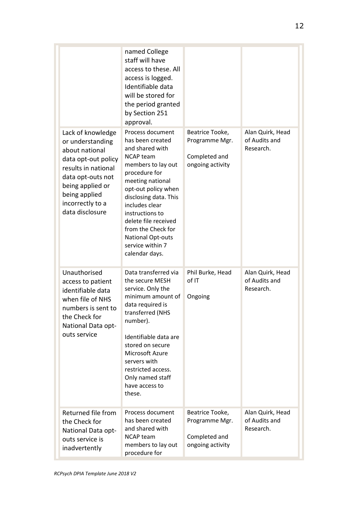|                                                                                                                                                                                                        | named College<br>staff will have<br>access to these. All<br>access is logged.<br>Identifiable data<br>will be stored for<br>the period granted<br>by Section 251<br>approval.                                                                                                                                                               |                                                                        |                                                |
|--------------------------------------------------------------------------------------------------------------------------------------------------------------------------------------------------------|---------------------------------------------------------------------------------------------------------------------------------------------------------------------------------------------------------------------------------------------------------------------------------------------------------------------------------------------|------------------------------------------------------------------------|------------------------------------------------|
| Lack of knowledge<br>or understanding<br>about national<br>data opt-out policy<br>results in national<br>data opt-outs not<br>being applied or<br>being applied<br>incorrectly to a<br>data disclosure | Process document<br>has been created<br>and shared with<br><b>NCAP</b> team<br>members to lay out<br>procedure for<br>meeting national<br>opt-out policy when<br>disclosing data. This<br>includes clear<br>instructions to<br>delete file received<br>from the Check for<br><b>National Opt-outs</b><br>service within 7<br>calendar days. | Beatrice Tooke,<br>Programme Mgr.<br>Completed and<br>ongoing activity | Alan Quirk, Head<br>of Audits and<br>Research. |
| Unauthorised<br>access to patient<br>identifiable data<br>when file of NHS<br>numbers is sent to<br>the Check for<br>National Data opt-<br>outs service                                                | Data transferred via<br>the secure MESH<br>service. Only the<br>minimum amount of<br>data required is<br>transferred (NHS<br>number).<br>Identifiable data are<br>stored on secure<br>Microsoft Azure<br>servers with<br>restricted access.<br>Only named staff<br>have access to<br>these.                                                 | Phil Burke, Head<br>of IT<br>Ongoing                                   | Alan Quirk, Head<br>of Audits and<br>Research. |
| Returned file from<br>the Check for<br>National Data opt-<br>outs service is<br>inadvertently                                                                                                          | Process document<br>has been created<br>and shared with<br><b>NCAP</b> team<br>members to lay out<br>procedure for                                                                                                                                                                                                                          | Beatrice Tooke,<br>Programme Mgr.<br>Completed and<br>ongoing activity | Alan Quirk, Head<br>of Audits and<br>Research. |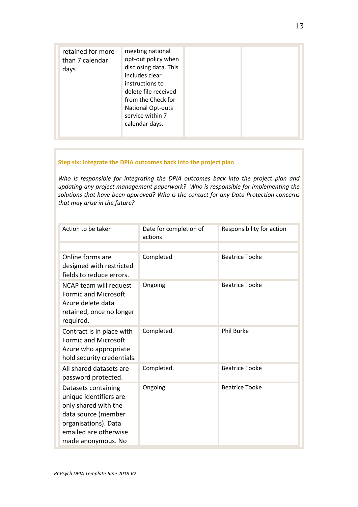| retained for more<br>than 7 calendar<br>days |
|----------------------------------------------|
|----------------------------------------------|

#### **Step six: Integrate the DPIA outcomes back into the project plan**

*Who is responsible for integrating the DPIA outcomes back into the project plan and updating any project management paperwork? Who is responsible for implementing the solutions that have been approved? Who is the contact for any Data Protection concerns that may arise in the future?*

| Action to be taken                                                                                                                                                  | Date for completion of<br>actions | Responsibility for action |
|---------------------------------------------------------------------------------------------------------------------------------------------------------------------|-----------------------------------|---------------------------|
|                                                                                                                                                                     |                                   |                           |
| Online forms are<br>designed with restricted<br>fields to reduce errors.                                                                                            | Completed                         | <b>Beatrice Tooke</b>     |
| NCAP team will request<br><b>Formic and Microsoft</b><br>Azure delete data<br>retained, once no longer<br>required.                                                 | Ongoing                           | <b>Beatrice Tooke</b>     |
| Contract is in place with<br><b>Formic and Microsoft</b><br>Azure who appropriate<br>hold security credentials.                                                     | Completed.                        | <b>Phil Burke</b>         |
| All shared datasets are<br>password protected.                                                                                                                      | Completed.                        | <b>Beatrice Tooke</b>     |
| Datasets containing<br>unique identifiers are<br>only shared with the<br>data source (member<br>organisations). Data<br>emailed are otherwise<br>made anonymous. No | Ongoing                           | <b>Beatrice Tooke</b>     |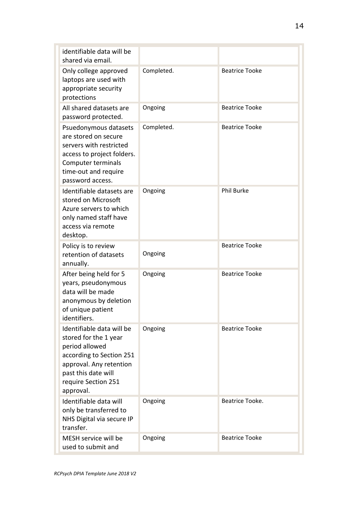| identifiable data will be<br>shared via email.                                                                                                                                         |            |                       |
|----------------------------------------------------------------------------------------------------------------------------------------------------------------------------------------|------------|-----------------------|
| Only college approved<br>laptops are used with<br>appropriate security<br>protections                                                                                                  | Completed. | <b>Beatrice Tooke</b> |
| All shared datasets are<br>password protected.                                                                                                                                         | Ongoing    | <b>Beatrice Tooke</b> |
| Psuedonymous datasets<br>are stored on secure<br>servers with restricted<br>access to project folders.<br>Computer terminals<br>time-out and require<br>password access.               | Completed. | <b>Beatrice Tooke</b> |
| Identifiable datasets are<br>stored on Microsoft<br>Azure servers to which<br>only named staff have<br>access via remote<br>desktop.                                                   | Ongoing    | <b>Phil Burke</b>     |
| Policy is to review<br>retention of datasets<br>annually.                                                                                                                              | Ongoing    | <b>Beatrice Tooke</b> |
| After being held for 5<br>years, pseudonymous<br>data will be made<br>anonymous by deletion<br>of unique patient<br>identifiers.                                                       | Ongoing    | <b>Beatrice Tooke</b> |
| Identifiable data will be<br>stored for the 1 year<br>period allowed<br>according to Section 251<br>approval. Any retention<br>past this date will<br>require Section 251<br>approval. | Ongoing    | <b>Beatrice Tooke</b> |
| Identifiable data will<br>only be transferred to<br>NHS Digital via secure IP<br>transfer.                                                                                             | Ongoing    | Beatrice Tooke.       |
| MESH service will be<br>used to submit and                                                                                                                                             | Ongoing    | <b>Beatrice Tooke</b> |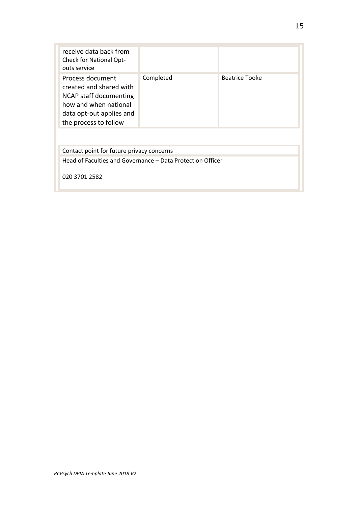| receive data back from<br><b>Check for National Opt-</b><br>outs service                                                                            |           |                       |  |  |
|-----------------------------------------------------------------------------------------------------------------------------------------------------|-----------|-----------------------|--|--|
| Process document<br>created and shared with<br>NCAP staff documenting<br>how and when national<br>data opt-out applies and<br>the process to follow | Completed | <b>Beatrice Tooke</b> |  |  |
|                                                                                                                                                     |           |                       |  |  |
| Contact point for future privacy concerns                                                                                                           |           |                       |  |  |
| Head of Faculties and Governance – Data Protection Officer                                                                                          |           |                       |  |  |
| 020 3701 2582                                                                                                                                       |           |                       |  |  |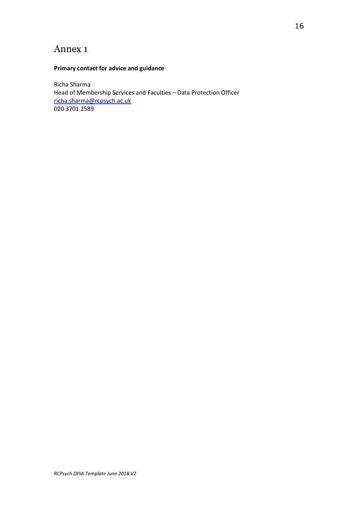#### <span id="page-27-0"></span>**Primary contact for advice and guidance**

Richa Sharma Head of Membership Services and Faculties – Data Protection Officer [richa.sharma@rcpsych.ac.uk](mailto:Philippa.BHanson@rcpsych.ac.uk) 020 3701 2589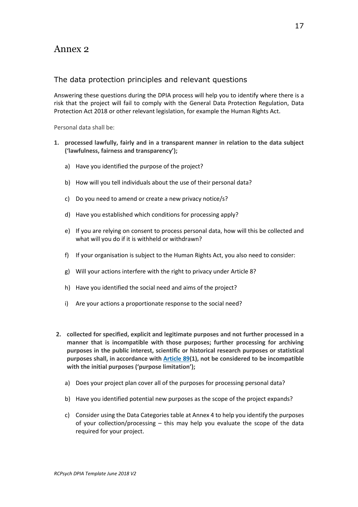#### <span id="page-28-1"></span><span id="page-28-0"></span>The data protection principles and relevant questions

Answering these questions during the DPIA process will help you to identify where there is a risk that the project will fail to comply with the General Data Protection Regulation, Data Protection Act 2018 or other relevant legislation, for example the Human Rights Act.

Personal data shall be:

- **1. processed lawfully, fairly and in a transparent manner in relation to the data subject ('lawfulness, fairness and transparency');**
	- a) Have you identified the purpose of the project?
	- b) How will you tell individuals about the use of their personal data?
	- c) Do you need to amend or create a new privacy notice/s?
	- d) Have you established which conditions for processing apply?
	- e) If you are relying on consent to process personal data, how will this be collected and what will you do if it is withheld or withdrawn?
	- f) If your organisation is subject to the Human Rights Act, you also need to consider:
	- g) Will your actions interfere with the right to privacy under Article 8?
	- h) Have you identified the social need and aims of the project?
	- i) Are your actions a proportionate response to the social need?
- **2. collected for specified, explicit and legitimate purposes and not further processed in a manner that is incompatible with those purposes; further processing for archiving purposes in the public interest, scientific or historical research purposes or statistical purposes shall, in accordance with [Article](https://gdpr-info.eu/art-89-gdpr/) 89(1), not be considered to be incompatible with the initial purposes ('purpose limitation');**
	- a) Does your project plan cover all of the purposes for processing personal data?
	- b) Have you identified potential new purposes as the scope of the project expands?
	- c) Consider using the Data Categories table at Annex 4 to help you identify the purposes of your collection/processing – this may help you evaluate the scope of the data required for your project.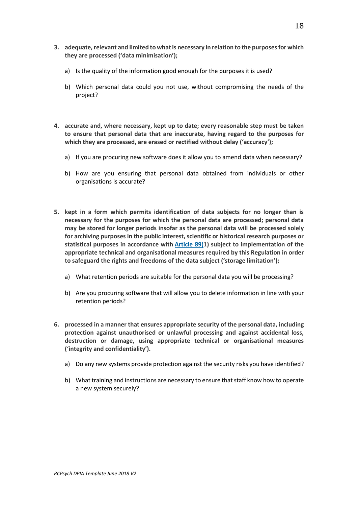- **3. adequate, relevant and limited to what is necessary in relation to the purposes for which they are processed ('data minimisation');**
	- a) Is the quality of the information good enough for the purposes it is used?
	- b) Which personal data could you not use, without compromising the needs of the project?
- **4. accurate and, where necessary, kept up to date; every reasonable step must be taken to ensure that personal data that are inaccurate, having regard to the purposes for which they are processed, are erased or rectified without delay ('accuracy');**
	- a) If you are procuring new software does it allow you to amend data when necessary?
	- b) How are you ensuring that personal data obtained from individuals or other organisations is accurate?
- **5. kept in a form which permits identification of data subjects for no longer than is necessary for the purposes for which the personal data are processed; personal data may be stored for longer periods insofar as the personal data will be processed solely for archiving purposes in the public interest, scientific or historical research purposes or statistical purposes in accordance with [Article](https://gdpr-info.eu/art-89-gdpr/) 89(1) subject to implementation of the appropriate technical and organisational measures required by this Regulation in order to safeguard the rights and freedoms of the data subject ('storage limitation');**
	- a) What retention periods are suitable for the personal data you will be processing?
	- b) Are you procuring software that will allow you to delete information in line with your retention periods?
- <span id="page-29-0"></span>**6. processed in a manner that ensures appropriate security of the personal data, including protection against unauthorised or unlawful processing and against accidental loss, destruction or damage, using appropriate technical or organisational measures ('integrity and confidentiality').**
	- a) Do any new systems provide protection against the security risks you have identified?
	- b) What training and instructions are necessary to ensure that staff know how to operate a new system securely?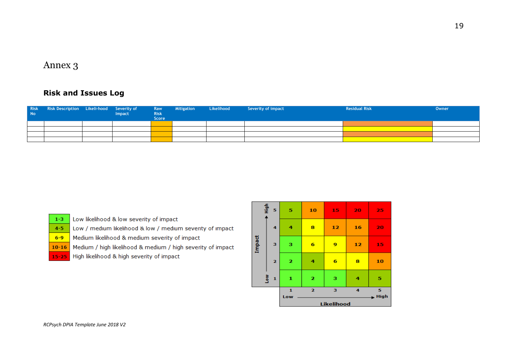## **Risk and Issues Log**

| No | Risk Risk Description Likeli-hood Severity of | Impact | <b>Risk</b><br>Score | <b>Example 18 Raw</b> Mitigation | Likelihood | Severity of impact | <b>Residual Risk</b> | Owner |
|----|-----------------------------------------------|--------|----------------------|----------------------------------|------------|--------------------|----------------------|-------|
|    |                                               |        |                      |                                  |            |                    |                      |       |
|    |                                               |        |                      |                                  |            |                    |                      |       |
|    |                                               |        |                      |                                  |            |                    |                      |       |
|    |                                               |        |                      |                                  |            |                    |                      |       |

Low likelihood & low severity of impact  $1-3$ Low / medium likelihood & low / medium severity of impact  $4 - 5$ Medium likelihood & medium severity of impact  $6-9$ 

Medium / high likelihood & medium / high severity of impact  $10 - 16$ 

15-25 High likelihood & high severity of impact

| $\frac{6}{2}$ | 5                          | 5                   | 10                      | 15 | 20 | 25               |  |  |
|---------------|----------------------------|---------------------|-------------------------|----|----|------------------|--|--|
|               | 4                          | 4                   | 8                       | 12 | 16 | 20               |  |  |
| Impact        | з                          | з                   | 6                       | 9  | 12 | 15               |  |  |
|               | $\overline{\mathbf{2}}$    | $\mathbf{z}$        | 4                       | 6  | 8  | 10               |  |  |
|               | <b>Mo7</b><br>$\mathbf{1}$ | 1                   | $\overline{\mathbf{z}}$ | з  | 4  | 5                |  |  |
|               |                            | $\mathbf{1}$<br>Low | $\overline{\mathbf{z}}$ | з  | 4  | 5<br><b>High</b> |  |  |
|               |                            | <b>Likelihood</b>   |                         |    |    |                  |  |  |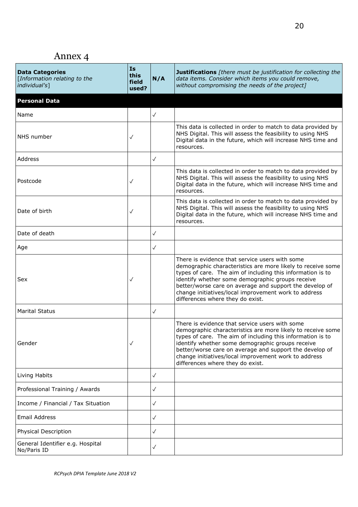<span id="page-31-0"></span>

| <b>Data Categories</b><br>[Information relating to the<br>individual's] | <b>Is</b><br>this<br>field<br>used? | N/A          | Justifications [there must be justification for collecting the<br>data items. Consider which items you could remove,<br>without compromising the needs of the project]                                                                                                                                                                                                                 |
|-------------------------------------------------------------------------|-------------------------------------|--------------|----------------------------------------------------------------------------------------------------------------------------------------------------------------------------------------------------------------------------------------------------------------------------------------------------------------------------------------------------------------------------------------|
| <b>Personal Data</b>                                                    |                                     |              |                                                                                                                                                                                                                                                                                                                                                                                        |
| Name                                                                    |                                     | $\checkmark$ |                                                                                                                                                                                                                                                                                                                                                                                        |
| NHS number                                                              | $\checkmark$                        |              | This data is collected in order to match to data provided by<br>NHS Digital. This will assess the feasibility to using NHS<br>Digital data in the future, which will increase NHS time and<br>resources.                                                                                                                                                                               |
| Address                                                                 |                                     | $\checkmark$ |                                                                                                                                                                                                                                                                                                                                                                                        |
| Postcode                                                                | $\checkmark$                        |              | This data is collected in order to match to data provided by<br>NHS Digital. This will assess the feasibility to using NHS<br>Digital data in the future, which will increase NHS time and<br>resources.                                                                                                                                                                               |
| Date of birth                                                           | $\checkmark$                        |              | This data is collected in order to match to data provided by<br>NHS Digital. This will assess the feasibility to using NHS<br>Digital data in the future, which will increase NHS time and<br>resources.                                                                                                                                                                               |
| Date of death                                                           |                                     | $\checkmark$ |                                                                                                                                                                                                                                                                                                                                                                                        |
| Age                                                                     |                                     | $\checkmark$ |                                                                                                                                                                                                                                                                                                                                                                                        |
| Sex                                                                     | $\checkmark$                        |              | There is evidence that service users with some<br>demographic characteristics are more likely to receive some<br>types of care. The aim of including this information is to<br>identify whether some demographic groups receive<br>better/worse care on average and support the develop of<br>change initiatives/local improvement work to address<br>differences where they do exist. |
| <b>Marital Status</b>                                                   |                                     | $\checkmark$ |                                                                                                                                                                                                                                                                                                                                                                                        |
| Gender                                                                  | $\checkmark$                        |              | There is evidence that service users with some<br>demographic characteristics are more likely to receive some<br>types of care. The aim of including this information is to<br>identify whether some demographic groups receive<br>better/worse care on average and support the develop of<br>change initiatives/local improvement work to address<br>differences where they do exist. |
| Living Habits                                                           |                                     | $\checkmark$ |                                                                                                                                                                                                                                                                                                                                                                                        |
| Professional Training / Awards                                          |                                     | $\checkmark$ |                                                                                                                                                                                                                                                                                                                                                                                        |
| Income / Financial / Tax Situation                                      |                                     | $\checkmark$ |                                                                                                                                                                                                                                                                                                                                                                                        |
| Email Address                                                           |                                     | $\checkmark$ |                                                                                                                                                                                                                                                                                                                                                                                        |
| Physical Description                                                    |                                     | $\checkmark$ |                                                                                                                                                                                                                                                                                                                                                                                        |
| General Identifier e.g. Hospital<br>No/Paris ID                         |                                     | $\checkmark$ |                                                                                                                                                                                                                                                                                                                                                                                        |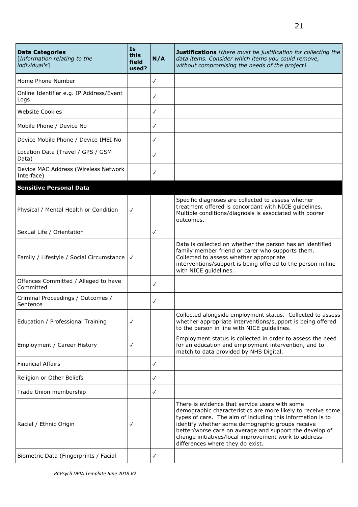| <b>Data Categories</b><br>[Information relating to the<br>individual's] | <b>Is</b><br>this<br>field<br>used? | N/A          | Justifications [there must be justification for collecting the<br>data items. Consider which items you could remove,<br>without compromising the needs of the project]                                                                                                                                                                                                                 |
|-------------------------------------------------------------------------|-------------------------------------|--------------|----------------------------------------------------------------------------------------------------------------------------------------------------------------------------------------------------------------------------------------------------------------------------------------------------------------------------------------------------------------------------------------|
| Home Phone Number                                                       |                                     | $\checkmark$ |                                                                                                                                                                                                                                                                                                                                                                                        |
| Online Identifier e.g. IP Address/Event<br>Logs                         |                                     | $\checkmark$ |                                                                                                                                                                                                                                                                                                                                                                                        |
| <b>Website Cookies</b>                                                  |                                     | $\checkmark$ |                                                                                                                                                                                                                                                                                                                                                                                        |
| Mobile Phone / Device No                                                |                                     | $\checkmark$ |                                                                                                                                                                                                                                                                                                                                                                                        |
| Device Mobile Phone / Device IMEI No                                    |                                     | $\checkmark$ |                                                                                                                                                                                                                                                                                                                                                                                        |
| Location Data (Travel / GPS / GSM<br>Data)                              |                                     | $\checkmark$ |                                                                                                                                                                                                                                                                                                                                                                                        |
| Device MAC Address (Wireless Network<br>Interface)                      |                                     | $\checkmark$ |                                                                                                                                                                                                                                                                                                                                                                                        |
| <b>Sensitive Personal Data</b>                                          |                                     |              |                                                                                                                                                                                                                                                                                                                                                                                        |
| Physical / Mental Health or Condition                                   | $\checkmark$                        |              | Specific diagnoses are collected to assess whether<br>treatment offered is concordant with NICE guidelines.<br>Multiple conditions/diagnosis is associated with poorer<br>outcomes.                                                                                                                                                                                                    |
| Sexual Life / Orientation                                               |                                     | $\checkmark$ |                                                                                                                                                                                                                                                                                                                                                                                        |
| Family / Lifestyle / Social Circumstance                                | $\checkmark$                        |              | Data is collected on whether the person has an identified<br>family member friend or carer who supports them.<br>Collected to assess whether appropriate<br>interventions/support is being offered to the person in line<br>with NICE guidelines.                                                                                                                                      |
| Offences Committed / Alleged to have<br>Committed                       |                                     | $\checkmark$ |                                                                                                                                                                                                                                                                                                                                                                                        |
| Criminal Proceedings / Outcomes /<br>Sentence                           |                                     | $\checkmark$ |                                                                                                                                                                                                                                                                                                                                                                                        |
| Education / Professional Training                                       | $\checkmark$                        |              | Collected alongside employment status. Collected to assess<br>whether appropriate interventions/support is being offered<br>to the person in line with NICE guidelines.                                                                                                                                                                                                                |
| Employment / Career History                                             | $\checkmark$                        |              | Employment status is collected in order to assess the need<br>for an education and employment intervention, and to<br>match to data provided by NHS Digital.                                                                                                                                                                                                                           |
| <b>Financial Affairs</b>                                                |                                     | $\checkmark$ |                                                                                                                                                                                                                                                                                                                                                                                        |
| Religion or Other Beliefs                                               |                                     | $\checkmark$ |                                                                                                                                                                                                                                                                                                                                                                                        |
| Trade Union membership                                                  |                                     | $\checkmark$ |                                                                                                                                                                                                                                                                                                                                                                                        |
| Racial / Ethnic Origin                                                  | $\checkmark$                        |              | There is evidence that service users with some<br>demographic characteristics are more likely to receive some<br>types of care. The aim of including this information is to<br>identify whether some demographic groups receive<br>better/worse care on average and support the develop of<br>change initiatives/local improvement work to address<br>differences where they do exist. |
| Biometric Data (Fingerprints / Facial                                   |                                     | $\checkmark$ |                                                                                                                                                                                                                                                                                                                                                                                        |